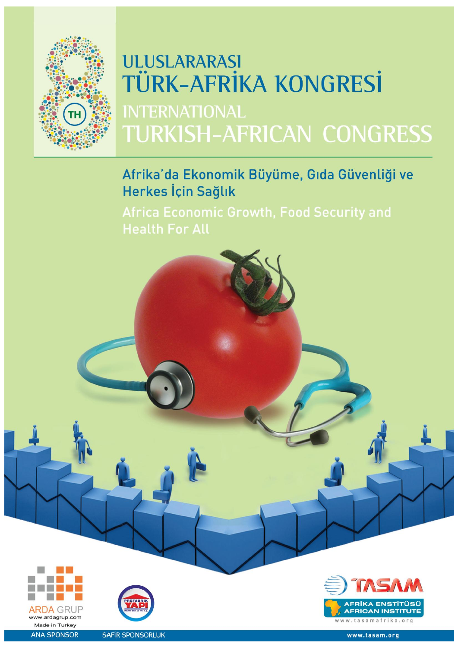

# **ULUSLARARASI TÜRK-AFRİKA KONGRESİ INTERNATIONAL TURKISH-AFRICAN CONGRESS**

Afrika'da Ekonomik Büyüme, Gıda Güvenliği ve Herkes İçin Sağlık

**Africa Economic Growth, Food Security and** 







**SAFIR SPONSORLUK**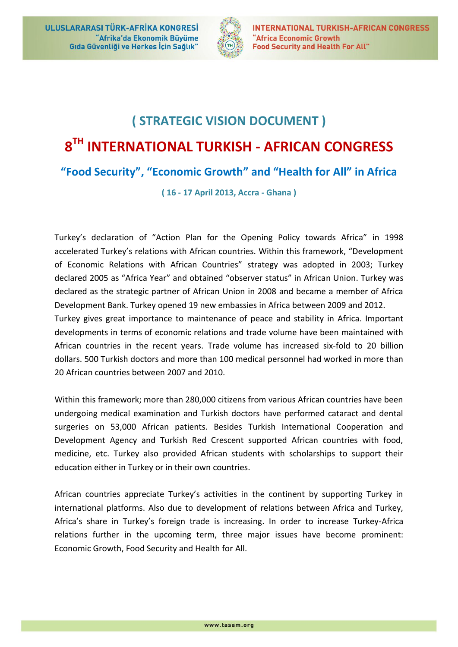

## **( STRATEGIC VISION DOCUMENT ) 8 TH INTERNATIONAL TURKISH - AFRICAN CONGRESS "Food Security" , "Economic Growth" and "Health for All" in Africa**

**( 16 - 17 April 2013, Accra - Ghana )**

Turkey's declaration of "Action Plan for the Opening Policy towards Africa" in 1998 accelerated Turkey's relations with African countries. Within this framework, "Development of Economic Relations with African Countries" strategy was adopted in 2003; Turkey declared 2005 as "Africa Year" and obtained "observer status" in African Union. Turkey was declared as the strategic partner of African Union in 2008 and became a member of Africa Development Bank. Turkey opened 19 new embassies in Africa between 2009 and 2012.

Turkey gives great importance to maintenance of peace and stability in Africa. Important developments in terms of economic relations and trade volume have been maintained with African countries in the recent years. Trade volume has increased six-fold to 20 billion dollars. 500 Turkish doctors and more than 100 medical personnel had worked in more than 20 African countries between 2007 and 2010.

Within this framework; more than 280,000 citizens from various African countries have been undergoing medical examination and Turkish doctors have performed cataract and dental surgeries on 53,000 African patients. Besides Turkish International Cooperation and Development Agency and Turkish Red Crescent supported African countries with food, medicine, etc. Turkey also provided African students with scholarships to support their education either in Turkey or in their own countries.

African countries appreciate Turkey's activities in the continent by supporting Turkey in international platforms. Also due to development of relations between Africa and Turkey, Africa's share in Turkey's foreign trade is increasing. In order to increase Turkey-Africa relations further in the upcoming term, three major issues have become prominent: Economic Growth, Food Security and Health for All.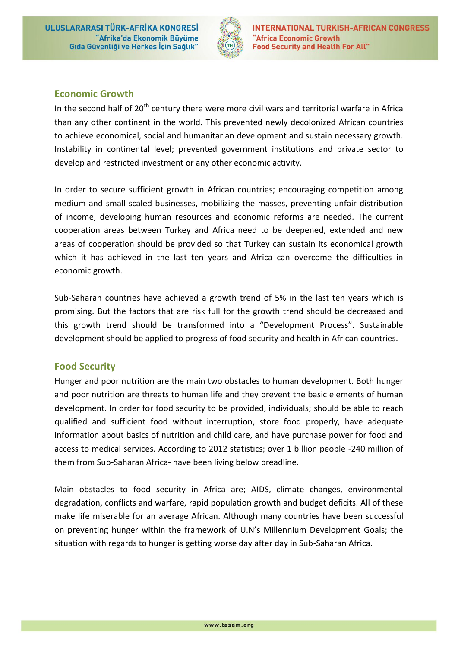ULUSLARARASI TÜRK-AFRİKA KONGRESİ "Afrika'da Ekonomik Büyüme Gıda Güvenliği ve Herkes İçin Sağlık"



## **Economic Growth**

In the second half of 20<sup>th</sup> century there were more civil wars and territorial warfare in Africa than any other continent in the world. This prevented newly decolonized African countries to achieve economical, social and humanitarian development and sustain necessary growth. Instability in continental level; prevented government institutions and private sector to develop and restricted investment or any other economic activity.

In order to secure sufficient growth in African countries; encouraging competition among medium and small scaled businesses, mobilizing the masses, preventing unfair distribution of income, developing human resources and economic reforms are needed. The current cooperation areas between Turkey and Africa need to be deepened, extended and new areas of cooperation should be provided so that Turkey can sustain its economical growth which it has achieved in the last ten years and Africa can overcome the difficulties in economic growth.

Sub-Saharan countries have achieved a growth trend of 5% in the last ten years which is promising. But the factors that are risk full for the growth trend should be decreased and this growth trend should be transformed into a "Development Process". Sustainable development should be applied to progress of food security and health in African countries.

#### **Food Security**

Hunger and poor nutrition are the main two obstacles to human development. Both hunger and poor nutrition are threats to human life and they prevent the basic elements of human development. In order for food security to be provided, individuals; should be able to reach qualified and sufficient food without interruption, store food properly, have adequate information about basics of nutrition and child care, and have purchase power for food and access to medical services. According to 2012 statistics; over 1 billion people -240 million of them from Sub-Saharan Africa- have been living below breadline.

Main obstacles to food security in Africa are; AIDS, climate changes, environmental degradation, conflicts and warfare, rapid population growth and budget deficits. All of these make life miserable for an average African. Although many countries have been successful on preventing hunger within the framework of U.N's Millennium Development Goals; the situation with regards to hunger is getting worse day after day in Sub-Saharan Africa.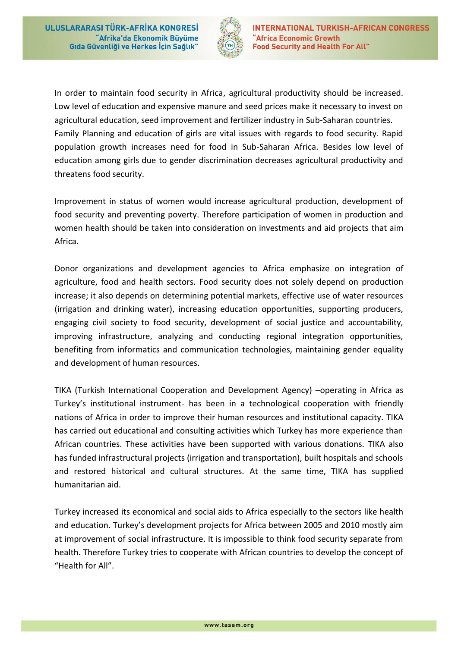

In order to maintain food security in Africa, agricultural productivity should be increased. Low level of education and expensive manure and seed prices make it necessary to invest on agricultural education, seed improvement and fertilizer industry in Sub-Saharan countries. Family Planning and education of girls are vital issues with regards to food security. Rapid population growth increases need for food in Sub-Saharan Africa. Besides low level of education among girls due to gender discrimination decreases agricultural productivity and threatens food security.

Improvement in status of women would increase agricultural production, development of food security and preventing poverty. Therefore participation of women in production and women health should be taken into consideration on investments and aid projects that aim Africa.

Donor organizations and development agencies to Africa emphasize on integration of agriculture, food and health sectors. Food security does not solely depend on production increase; it also depends on determining potential markets, effective use of water resources (irrigation and drinking water), increasing education opportunities, supporting producers, engaging civil society to food security, development of social justice and accountability, improving infrastructure, analyzing and conducting regional integration opportunities, benefiting from informatics and communication technologies, maintaining gender equality and development of human resources.

TIKA (Turkish International Cooperation and Development Agency) –operating in Africa as Turkey's institutional instrument- has been in a technological cooperation with friendly nations of Africa in order to improve their human resources and institutional capacity. TIKA has carried out educational and consulting activities which Turkey has more experience than African countries. These activities have been supported with various donations. TIKA also has funded infrastructural projects (irrigation and transportation), built hospitals and schools and restored historical and cultural structures. At the same time, TIKA has supplied humanitarian aid.

Turkey increased its economical and social aids to Africa especially to the sectors like health and education. Turkey's development projects for Africa between 2005 and 2010 mostly aim at improvement of social infrastructure. It is impossible to think food security separate from health. Therefore Turkey tries to cooperate with African countries to develop the concept of "Health for All".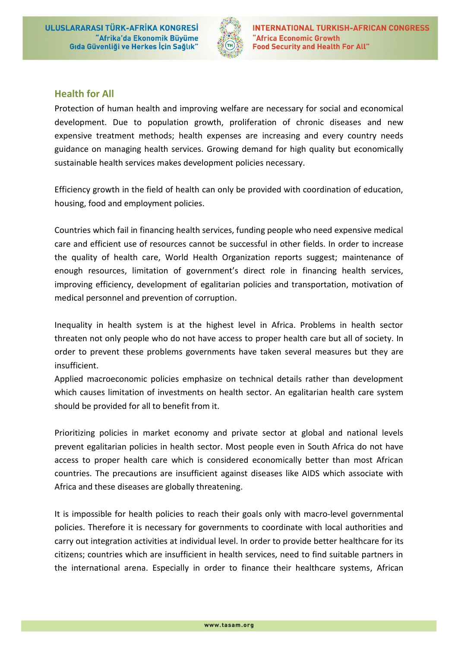ULUSLARARASI TÜRK-AFRİKA KONGRESİ "Afrika'da Ekonomik Büyüme Gıda Güvenliği ve Herkes İçin Sağlık"



## **Health for All**

Protection of human health and improving welfare are necessary for social and economical development. Due to population growth, proliferation of chronic diseases and new expensive treatment methods; health expenses are increasing and every country needs guidance on managing health services. Growing demand for high quality but economically sustainable health services makes development policies necessary.

Efficiency growth in the field of health can only be provided with coordination of education, housing, food and employment policies.

Countries which fail in financing health services, funding people who need expensive medical care and efficient use of resources cannot be successful in other fields. In order to increase the quality of health care, World Health Organization reports suggest; maintenance of enough resources, limitation of government's direct role in financing health services, improving efficiency, development of egalitarian policies and transportation, motivation of medical personnel and prevention of corruption.

Inequality in health system is at the highest level in Africa. Problems in health sector threaten not only people who do not have access to proper health care but all of society. In order to prevent these problems governments have taken several measures but they are insufficient.

Applied macroeconomic policies emphasize on technical details rather than development which causes limitation of investments on health sector. An egalitarian health care system should be provided for all to benefit from it.

Prioritizing policies in market economy and private sector at global and national levels prevent egalitarian policies in health sector. Most people even in South Africa do not have access to proper health care which is considered economically better than most African countries. The precautions are insufficient against diseases like AIDS which associate with Africa and these diseases are globally threatening.

It is impossible for health policies to reach their goals only with macro-level governmental policies. Therefore it is necessary for governments to coordinate with local authorities and carry out integration activities at individual level. In order to provide better healthcare for its citizens; countries which are insufficient in health services, need to find suitable partners in the international arena. Especially in order to finance their healthcare systems, African